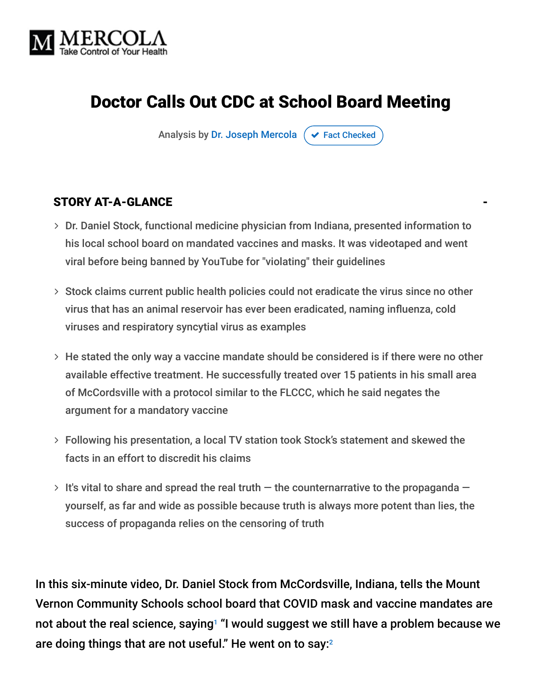

# Doctor Calls Out CDC at School Board Meeting

Analysis by [Dr. Joseph Mercola](https://www.mercola.com/forms/background.htm)  $\sigma$  [Fact Checked](javascript:void(0))

#### STORY AT-A-GLANCE

- Dr. Daniel Stock, functional medicine physician from Indiana, presented information to his local school board on mandated vaccines and masks. It was videotaped and went viral before being banned by YouTube for "violating" their guidelines
- $>$  Stock claims current public health policies could not eradicate the virus since no other virus that has an animal reservoir has ever been eradicated, naming influenza, cold viruses and respiratory syncytial virus as examples
- $>$  He stated the only way a vaccine mandate should be considered is if there were no other available effective treatment. He successfully treated over 15 patients in his small area of McCordsville with a protocol similar to the FLCCC, which he said negates the argument for a mandatory vaccine
- Following his presentation, a local TV station took Stock's statement and skewed the facts in an effort to discredit his claims
- $>$  It's vital to share and spread the real truth  $-$  the counternarrative to the propaganda  $$ yourself, as far and wide as possible because truth is always more potent than lies, the success of propaganda relies on the censoring of truth

In this six-minute video, Dr. Daniel Stock from McCordsville, Indiana, tells the Mount Vernon Community Schools school board that COVID mask and vaccine mandates are not about the real science, saying<sup>1</sup> "I would suggest we still have a problem because we are doing things that are not useful." He went on to say: $^{\scriptscriptstyle 2}$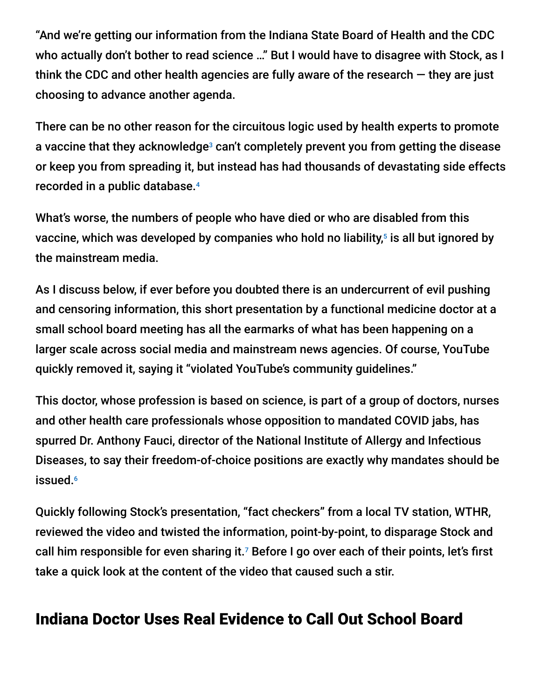"And we're getting our information from the Indiana State Board of Health and the CDC who actually don't bother to read science …" But I would have to disagree with Stock, as I think the CDC and other health agencies are fully aware of the research  $-$  they are just choosing to advance another agenda.

There can be no other reason for the circuitous logic used by health experts to promote a vaccine that they acknowledge<sup>3</sup> can't completely prevent you from getting the disease or keep you from spreading it, but instead has had thousands of devastating side effects recorded in a public database. 4

What's worse, the numbers of people who have died or who are disabled from this vaccine, which was developed by companies who hold no liability,<sup>5</sup> is all but ignored by the mainstream media.

As I discuss below, if ever before you doubted there is an undercurrent of evil pushing and censoring information, this short presentation by a functional medicine doctor at a small school board meeting has all the earmarks of what has been happening on a larger scale across social media and mainstream news agencies. Of course, YouTube quickly removed it, saying it "violated YouTube's community guidelines."

This doctor, whose profession is based on science, is part of a group of doctors, nurses and other health care professionals whose opposition to mandated COVID jabs, has spurred Dr. Anthony Fauci, director of the National Institute of Allergy and Infectious Diseases, to say their freedom-of-choice positions are exactly why mandates should be issued. 6

Quickly following Stock's presentation, "fact checkers" from a local TV station, WTHR, reviewed the video and twisted the information, point-by-point, to disparage Stock and call him responsible for even sharing it.<sup>7</sup> Before I go over each of their points, let's first take a quick look at the content of the video that caused such a stir.

## Indiana Doctor Uses Real Evidence to Call Out School Board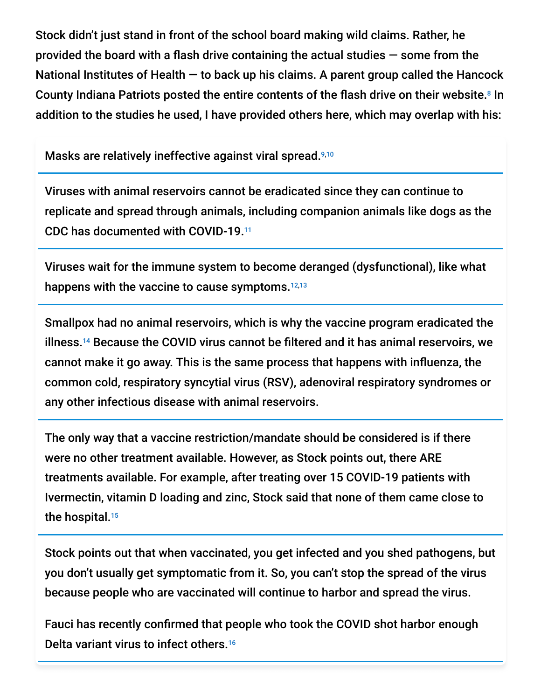Stock didn't just stand in front of the school board making wild claims. Rather, he provided the board with a flash drive containing the actual studies — some from the National Institutes of Health  $-$  to back up his claims. A parent group called the Hancock County Indiana Patriots posted the entire contents of the flash drive on their website.<sup>8</sup> In addition to the studies he used, I have provided others here, which may overlap with his:

Masks are relatively ineffective against viral spread. 9,10

Viruses with animal reservoirs cannot be eradicated since they can continue to replicate and spread through animals, including companion animals like dogs as the CDC has documented with COVID-19. 11

Viruses wait for the immune system to become deranged (dysfunctional), like what happens with the vaccine to cause symptoms.<sup>12,13</sup>

Smallpox had no animal reservoirs, which is why the vaccine program eradicated the illness.<sup>14</sup> Because the COVID virus cannot be filtered and it has animal reservoirs, we cannot make it go away. This is the same process that happens with influenza, the common cold, respiratory syncytial virus (RSV), adenoviral respiratory syndromes or any other infectious disease with animal reservoirs.

The only way that a vaccine restriction/mandate should be considered is if there were no other treatment available. However, as Stock points out, there ARE treatments available. For example, after treating over 15 COVID-19 patients with Ivermectin, vitamin D loading and zinc, Stock said that none of them came close to the hospital. 15

Stock points out that when vaccinated, you get infected and you shed pathogens, but you don't usually get symptomatic from it. So, you can't stop the spread of the virus because people who are vaccinated will continue to harbor and spread the virus.

Fauci has recently confirmed that people who took the COVID shot harbor enough Delta variant virus to infect others. 16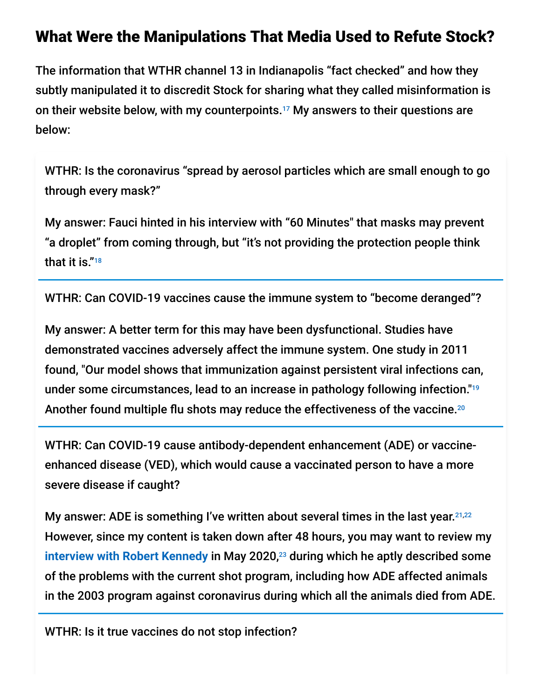### What Were the Manipulations That Media Used to Refute Stock?

The information that WTHR channel 13 in Indianapolis "fact checked" and how they subtly manipulated it to discredit Stock for sharing what they called misinformation is on their website below, with my counterpoints.<sup>17</sup> My answers to their questions are below:

WTHR: Is the coronavirus "spread by aerosol particles which are small enough to go through every mask?"

My answer: Fauci hinted in his interview with "60 Minutes" that masks may prevent "a droplet" from coming through, but "it's not providing the protection people think that it is." 18

WTHR: Can COVID-19 vaccines cause the immune system to "become deranged"?

My answer: A better term for this may have been dysfunctional. Studies have demonstrated vaccines adversely affect the immune system. One study in 2011 found, "Our model shows that immunization against persistent viral infections can, under some circumstances, lead to an increase in pathology following infection." 19 Another found multiple flu shots may reduce the effectiveness of the vaccine. 20

WTHR: Can COVID-19 cause antibody-dependent enhancement (ADE) or vaccineenhanced disease (VED), which would cause a vaccinated person to have a more severe disease if caught?

My answer: ADE is something I've written about several times in the last year.<sup>21,22</sup> However, since my content is taken down after 48 hours, you may want to review my [interview with Robert Kennedy](https://www.bitchute.com/video/S2714ylczhMl/) in May 2020,<sup>23</sup> during which he aptly described some of the problems with the current shot program, including how ADE affected animals in the 2003 program against coronavirus during which all the animals died from ADE.

WTHR: Is it true vaccines do not stop infection?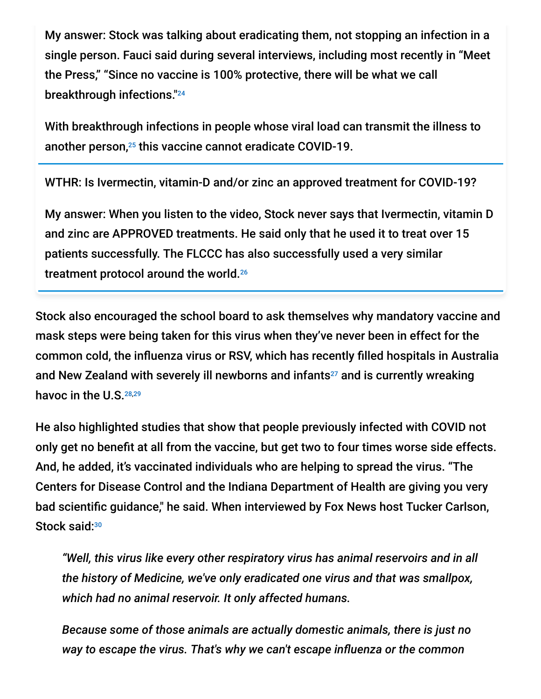My answer: Stock was talking about eradicating them, not stopping an infection in a single person. Fauci said during several interviews, including most recently in "Meet the Press," "Since no vaccine is 100% protective, there will be what we call breakthrough infections." 24

With breakthrough infections in people whose viral load can transmit the illness to another person,<sup>25</sup> this vaccine cannot eradicate COVID-19.

WTHR: Is Ivermectin, vitamin-D and/or zinc an approved treatment for COVID-19?

My answer: When you listen to the video, Stock never says that Ivermectin, vitamin D and zinc are APPROVED treatments. He said only that he used it to treat over 15 patients successfully. The FLCCC has also successfully used a very similar treatment protocol around the world. 26

Stock also encouraged the school board to ask themselves why mandatory vaccine and mask steps were being taken for this virus when they've never been in effect for the common cold, the influenza virus or RSV, which has recently filled hospitals in Australia and New Zealand with severely ill newborns and infants<sup>27</sup> and is currently wreaking havoc in the U.S.<sup>28,29</sup>

He also highlighted studies that show that people previously infected with COVID not only get no benefit at all from the vaccine, but get two to four times worse side effects. And, he added, it's vaccinated individuals who are helping to spread the virus. "The Centers for Disease Control and the Indiana Department of Health are giving you very bad scientific guidance," he said. When interviewed by Fox News host Tucker Carlson, Stock said:<sup>30</sup>

*"Well, this virus like every other respiratory virus has animal reservoirs and in all the history of Medicine, we've only eradicated one virus and that was smallpox, which had no animal reservoir. It only affected humans.*

*Because some of those animals are actually domestic animals, there is just no way to escape the virus. That's why we can't escape influenza or the common*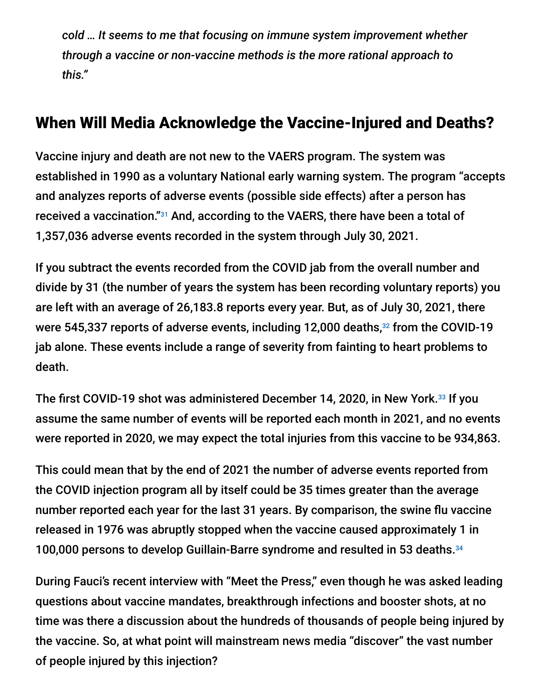*cold … It seems to me that focusing on immune system improvement whether through a vaccine or non-vaccine methods is the more rational approach to this."*

### When Will Media Acknowledge the Vaccine-Injured and Deaths?

Vaccine injury and death are not new to the VAERS program. The system was established in 1990 as a voluntary National early warning system. The program "accepts and analyzes reports of adverse events (possible side effects) after a person has received a vaccination."<sup>31</sup> And, according to the VAERS, there have been a total of 1,357,036 adverse events recorded in the system through July 30, 2021.

If you subtract the events recorded from the COVID jab from the overall number and divide by 31 (the number of years the system has been recording voluntary reports) you are left with an average of 26,183.8 reports every year. But, as of July 30, 2021, there were 545,337 reports of adverse events, including 12,000 deaths,<sup>32</sup> from the COVID-19 jab alone. These events include a range of severity from fainting to heart problems to death.

The first COVID-19 shot was administered December 14, 2020, in New York.<sup>33</sup> If you assume the same number of events will be reported each month in 2021, and no events were reported in 2020, we may expect the total injuries from this vaccine to be 934,863.

This could mean that by the end of 2021 the number of adverse events reported from the COVID injection program all by itself could be 35 times greater than the average number reported each year for the last 31 years. By comparison, the swine flu vaccine released in 1976 was abruptly stopped when the vaccine caused approximately 1 in 100,000 persons to develop Guillain-Barre syndrome and resulted in 53 deaths. 34

During Fauci's recent interview with "Meet the Press," even though he was asked leading questions about vaccine mandates, breakthrough infections and booster shots, at no time was there a discussion about the hundreds of thousands of people being injured by the vaccine. So, at what point will mainstream news media "discover" the vast number of people injured by this injection?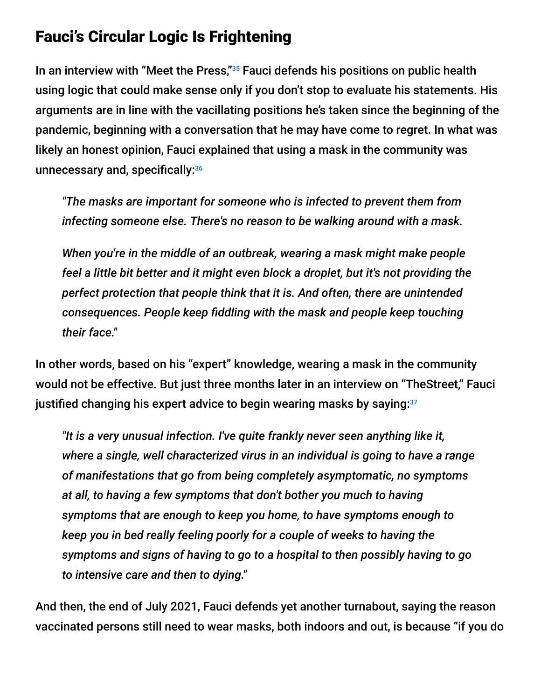## Fauci's Circular Logic Is Frightening

In an interview with "Meet the Press,"<sup>35</sup> Fauci defends his positions on public health using logic that could make sense only if you don't stop to evaluate his statements. His arguments are in line with the vacillating positions he's taken since the beginning of the pandemic, beginning with a conversation that he may have come to regret. In what was likely an honest opinion, Fauci explained that using a mask in the community was unnecessary and, specifically: 36

*"The masks are important for someone who is infected to prevent them from infecting someone else. There's no reason to be walking around with a mask.*

*When you're in the middle of an outbreak, wearing a mask might make people feel a little bit better and it might even block a droplet, but it's not providing the perfect protection that people think that it is. And often, there are unintended consequences. People keep fiddling with the mask and people keep touching their face."*

In other words, based on his "expert" knowledge, wearing a mask in the community would not be effective. But just three months later in an interview on "TheStreet," Fauci justified changing his expert advice to begin wearing masks by saying: $^{\scriptscriptstyle 37}$ 

*"It is a very unusual infection. I've quite frankly never seen anything like it, where a single, well characterized virus in an individual is going to have a range of manifestations that go from being completely asymptomatic, no symptoms at all, to having a few symptoms that don't bother you much to having symptoms that are enough to keep you home, to have symptoms enough to keep you in bed really feeling poorly for a couple of weeks to having the symptoms and signs of having to go to a hospital to then possibly having to go to intensive care and then to dying."*

And then, the end of July 2021, Fauci defends yet another turnabout, saying the reason vaccinated persons still need to wear masks, both indoors and out, is because "if you do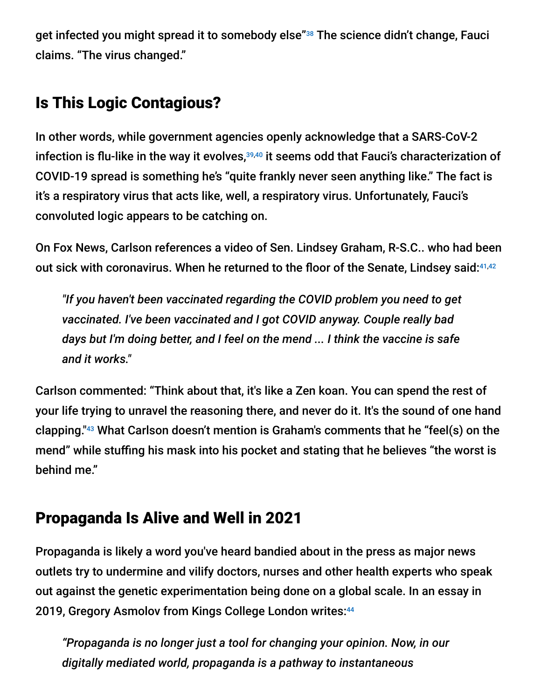get infected you might spread it to somebody else"38 The science didn't change, Fauci claims. "The virus changed."

# Is This Logic Contagious?

In other words, while government agencies openly acknowledge that a SARS-CoV-2 infection is flu-like in the way it evolves, $^{\text{39,40}}$  it seems odd that Fauci's characterization of COVID-19 spread is something he's "quite frankly never seen anything like." The fact is it's a respiratory virus that acts like, well, a respiratory virus. Unfortunately, Fauci's convoluted logic appears to be catching on.

On Fox News, Carlson references a video of Sen. Lindsey Graham, R-S.C.. who had been out sick with coronavirus. When he returned to the floor of the Senate, Lindsey said:<sup>41,42</sup>

*"If you haven't been vaccinated regarding the COVID problem you need to get vaccinated. I've been vaccinated and I got COVID anyway. Couple really bad days but I'm doing better, and I feel on the mend ... I think the vaccine is safe and it works."*

Carlson commented: "Think about that, it's like a Zen koan. You can spend the rest of your life trying to unravel the reasoning there, and never do it. It's the sound of one hand clapping."<sup>43</sup> What Carlson doesn't mention is Graham's comments that he "feel(s) on the mend" while stuffing his mask into his pocket and stating that he believes "the worst is behind me."

# Propaganda Is Alive and Well in 2021

Propaganda is likely a word you've heard bandied about in the press as major news outlets try to undermine and vilify doctors, nurses and other health experts who speak out against the genetic experimentation being done on a global scale. In an essay in 2019, Gregory Asmolov from Kings College London writes: 44

*"Propaganda is no longer just a tool for changing your opinion. Now, in our digitally mediated world, propaganda is a pathway to instantaneous*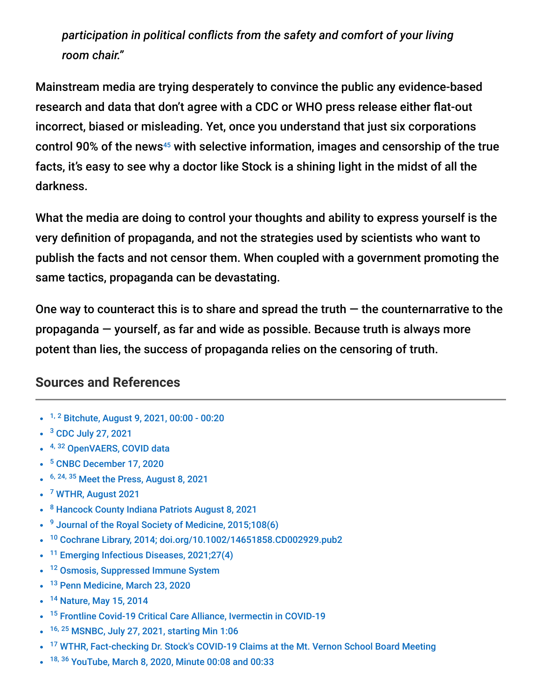*participation in political conflicts from the safety and comfort of your living room chair."*

Mainstream media are trying desperately to convince the public any evidence-based research and data that don't agree with a CDC or WHO press release either flat-out incorrect, biased or misleading. Yet, once you understand that just six corporations control 90% of the news $45$  with selective information, images and censorship of the true facts, it's easy to see why a doctor like Stock is a shining light in the midst of all the darkness.

What the media are doing to control your thoughts and ability to express yourself is the very definition of propaganda, and not the strategies used by scientists who want to publish the facts and not censor them. When coupled with a government promoting the same tactics, propaganda can be devastating.

One way to counteract this is to share and spread the truth  $-$  the counternarrative to the propaganda — yourself, as far and wide as possible. Because truth is always more potent than lies, the success of propaganda relies on the censoring of truth.

#### **Sources and References**

- <sup>1, 2</sup> [Bitchute, August 9, 2021, 00:00 00:20](https://www.bitchute.com/video/LLNADqYSs3bs/?fbclid=IwAR1sQlxLadz-HTMfZyq6FVhv6XCEqoyyci_nn8AXCUfJBOiE4LElefI0bEA)
- <sup>3</sup> [CDC July 27, 2021](https://www.cdc.gov/coronavirus/2019-ncov/science/science-briefs/fully-vaccinated-people.html)
- <sup>4, 32</sup> [OpenVAERS, COVID data](https://www.openvaers.com/covid-data)
- <sup>5</sup> [CNBC December 17, 2020](https://www.cnbc.com/2020/12/16/covid-vaccine-side-effects-compensation-lawsuit.html)
- $6, 24, 35$  [Meet the Press, August 8, 2021](https://www.nbcnews.com/meet-the-press/meet-press-august-8-2021-n1276291)
- <sup>7</sup> [WTHR, August 2021](https://www.wthr.com/article/news/verify/fact-checking-dr-dan-stocks-covid-19-claims-at-the-mt-vernon-indiana-school-board-meeting-verify-disinformation-hancock-county/531-35d5d1f1-cc54-44eb-99e9-fadc92a0016d)
- <sup>8</sup> [Hancock County Indiana Patriots August 8, 2021](https://hancockcountypatriots.blogspot.com/2021/08/dr-dan-stocks-presentation-to-mt-vernon.html)
- <sup>9</sup> [Journal of the Royal Society of Medicine, 2015;108\(6\)](https://www.ncbi.nlm.nih.gov/pmc/articles/PMC4480558/)
- <sup>10</sup> [Cochrane Library, 2014; doi.org/10.1002/14651858.CD002929.pub2](https://www.cochranelibrary.com/cdsr/doi/10.1002/14651858.CD002929.pub2/full)
- <sup>11</sup> [Emerging Infectious Diseases, 2021;27\(4\)](https://wwwnc.cdc.gov/eid/article/27/4/20-3945_article)
- <sup>12</sup> [Osmosis, Suppressed Immune System](https://www.osmosis.org/answers/suppressed-immune-system)
- <sup>13</sup> [Penn Medicine, March 23, 2020](https://www.pennmedicine.org/updates/blogs/health-and-wellness/2020/march/weakened-immune-system)
- <sup>14</sup> [Nature, May 15, 2014](https://www.nature.com/scitable/blog/viruses101/smallpox_the_most_talked_about/)
- <sup>15</sup> [Frontline Covid-19 Critical Care Alliance, Ivermectin in COVID-19](https://covid19criticalcare.com/ivermectin-in-covid-19/)
- <sup>16, 25</sup> [MSNBC, July 27, 2021, starting Min 1:06](https://www.msnbc.com/all-in/watch/dr-fauci-explains-updated-cdc-mask-guidance-for-vaccinated-people-amid-covid-hotspots-117489221538)
- <sup>17</sup> [WTHR, Fact-checking Dr. Stock's COVID-19 Claims at the Mt. Vernon School Board Meeting](https://www.wthr.com/article/news/verify/fact-checking-dr-dan-stocks-covid-19-claims-at-the-mt-vernon-indiana-school-board-meeting-verify-disinformation-hancock-county/531-35d5d1f1-cc54-44eb-99e9-fadc92a0016d)
- <sup>18, 36</sup> [YouTube, March 8, 2020, Minute 00:08 and 00:33](https://www.youtube.com/watch?app=desktop&v=PRa6t_e7dgI)